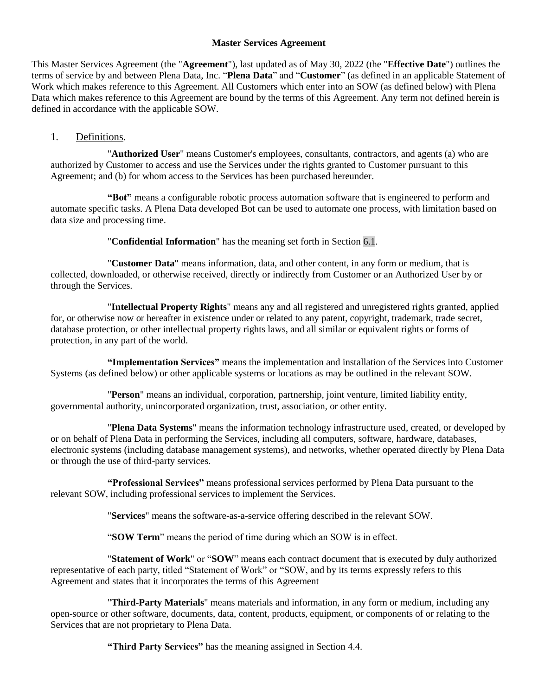#### **Master Services Agreement**

This Master Services Agreement (the "**Agreement**"), last updated as of May 30, 2022 (the "**Effective Date**") outlines the terms of service by and between Plena Data, Inc. "**Plena Data**" and "**Customer**" (as defined in an applicable Statement of Work which makes reference to this Agreement. All Customers which enter into an SOW (as defined below) with Plena Data which makes reference to this Agreement are bound by the terms of this Agreement. Any term not defined herein is defined in accordance with the applicable SOW.

## 1. Definitions.

"**Authorized User**" means Customer's employees, consultants, contractors, and agents (a) who are authorized by Customer to access and use the Services under the rights granted to Customer pursuant to this Agreement; and (b) for whom access to the Services has been purchased hereunder.

**"Bot"** means a configurable robotic process automation software that is engineered to perform and automate specific tasks. A Plena Data developed Bot can be used to automate one process, with limitation based on data size and processing time.

"**Confidential Information**" has the meaning set forth in Section [6.1.](#page-3-0)

"**Customer Data**" means information, data, and other content, in any form or medium, that is collected, downloaded, or otherwise received, directly or indirectly from Customer or an Authorized User by or through the Services.

"**Intellectual Property Rights**" means any and all registered and unregistered rights granted, applied for, or otherwise now or hereafter in existence under or related to any patent, copyright, trademark, trade secret, database protection, or other intellectual property rights laws, and all similar or equivalent rights or forms of protection, in any part of the world.

**"Implementation Services"** means the implementation and installation of the Services into Customer Systems (as defined below) or other applicable systems or locations as may be outlined in the relevant SOW.

"**Person**" means an individual, corporation, partnership, joint venture, limited liability entity, governmental authority, unincorporated organization, trust, association, or other entity.

"**Plena Data Systems**" means the information technology infrastructure used, created, or developed by or on behalf of Plena Data in performing the Services, including all computers, software, hardware, databases, electronic systems (including database management systems), and networks, whether operated directly by Plena Data or through the use of third-party services.

**"Professional Services"** means professional services performed by Plena Data pursuant to the relevant SOW, including professional services to implement the Services.

"**Services**" means the software-as-a-service offering described in the relevant SOW.

"**SOW Term**" means the period of time during which an SOW is in effect.

"**Statement of Work**" or "**SOW**" means each contract document that is executed by duly authorized representative of each party, titled "Statement of Work" or "SOW, and by its terms expressly refers to this Agreement and states that it incorporates the terms of this Agreement

"**Third-Party Materials**" means materials and information, in any form or medium, including any open-source or other software, documents, data, content, products, equipment, or components of or relating to the Services that are not proprietary to Plena Data.

**"Third Party Services"** has the meaning assigned in Section [4.4.](#page-2-0)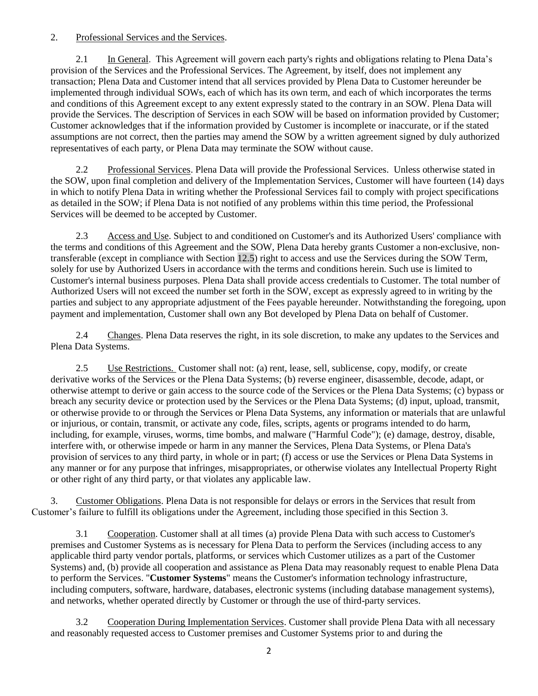### 2. Professional Services and the Services.

2.1 In General. This Agreement will govern each party's rights and obligations relating to Plena Data's provision of the Services and the Professional Services. The Agreement, by itself, does not implement any transaction; Plena Data and Customer intend that all services provided by Plena Data to Customer hereunder be implemented through individual SOWs, each of which has its own term, and each of which incorporates the terms and conditions of this Agreement except to any extent expressly stated to the contrary in an SOW. Plena Data will provide the Services. The description of Services in each SOW will be based on information provided by Customer; Customer acknowledges that if the information provided by Customer is incomplete or inaccurate, or if the stated assumptions are not correct, then the parties may amend the SOW by a written agreement signed by duly authorized representatives of each party, or Plena Data may terminate the SOW without cause.

2.2 Professional Services. Plena Data will provide the Professional Services. Unless otherwise stated in the SOW, upon final completion and delivery of the Implementation Services, Customer will have fourteen (14) days in which to notify Plena Data in writing whether the Professional Services fail to comply with project specifications as detailed in the SOW; if Plena Data is not notified of any problems within this time period, the Professional Services will be deemed to be accepted by Customer.

<span id="page-1-1"></span>2.3 Access and Use. Subject to and conditioned on Customer's and its Authorized Users' compliance with the terms and conditions of this Agreement and the SOW, Plena Data hereby grants Customer a non-exclusive, nontransferable (except in compliance with Section [12.5\)](#page-8-0) right to access and use the Services during the SOW Term, solely for use by Authorized Users in accordance with the terms and conditions herein. Such use is limited to Customer's internal business purposes. Plena Data shall provide access credentials to Customer. The total number of Authorized Users will not exceed the number set forth in the SOW, except as expressly agreed to in writing by the parties and subject to any appropriate adjustment of the Fees payable hereunder. Notwithstanding the foregoing, upon payment and implementation, Customer shall own any Bot developed by Plena Data on behalf of Customer.

2.4 Changes. Plena Data reserves the right, in its sole discretion, to make any updates to the Services and Plena Data Systems.

<span id="page-1-3"></span><span id="page-1-2"></span>2.5 Use Restrictions. Customer shall not: (a) rent, lease, sell, sublicense, copy, modify, or create derivative works of the Services or the Plena Data Systems; (b) reverse engineer, disassemble, decode, adapt, or otherwise attempt to derive or gain access to the source code of the Services or the Plena Data Systems; (c) bypass or breach any security device or protection used by the Services or the Plena Data Systems; (d) input, upload, transmit, or otherwise provide to or through the Services or Plena Data Systems, any information or materials that are unlawful or injurious, or contain, transmit, or activate any code, files, scripts, agents or programs intended to do harm, including, for example, viruses, worms, time bombs, and malware ("Harmful Code"); (e) damage, destroy, disable, interfere with, or otherwise impede or harm in any manner the Services, Plena Data Systems, or Plena Data's provision of services to any third party, in whole or in part; (f) access or use the Services or Plena Data Systems in any manner or for any purpose that infringes, misappropriates, or otherwise violates any Intellectual Property Right or other right of any third party, or that violates any applicable law.

<span id="page-1-0"></span>3. Customer Obligations. Plena Data is not responsible for delays or errors in the Services that result from Customer's failure to fulfill its obligations under the Agreement, including those specified in this Sectio[n 3.](#page-1-0)

3.1 Cooperation. Customer shall at all times (a) provide Plena Data with such access to Customer's premises and Customer Systems as is necessary for Plena Data to perform the Services (including access to any applicable third party vendor portals, platforms, or services which Customer utilizes as a part of the Customer Systems) and, (b) provide all cooperation and assistance as Plena Data may reasonably request to enable Plena Data to perform the Services. "**Customer Systems**" means the Customer's information technology infrastructure, including computers, software, hardware, databases, electronic systems (including database management systems), and networks, whether operated directly by Customer or through the use of third-party services.

3.2 Cooperation During Implementation Services. Customer shall provide Plena Data with all necessary and reasonably requested access to Customer premises and Customer Systems prior to and during the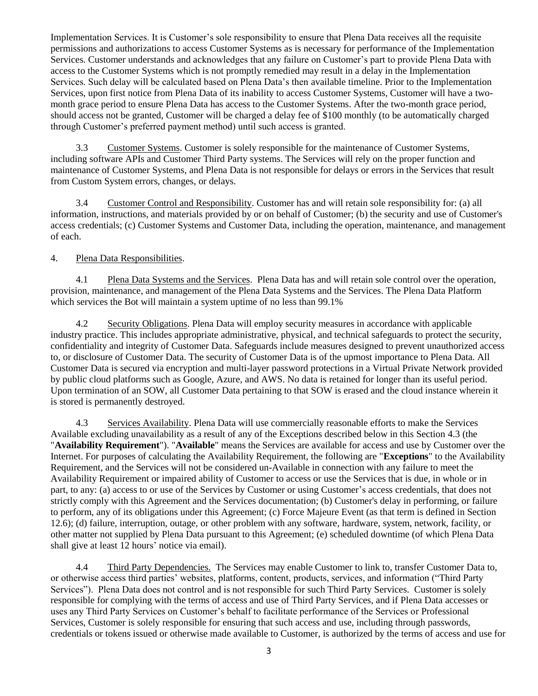Implementation Services. It is Customer's sole responsibility to ensure that Plena Data receives all the requisite permissions and authorizations to access Customer Systems as is necessary for performance of the Implementation Services. Customer understands and acknowledges that any failure on Customer's part to provide Plena Data with access to the Customer Systems which is not promptly remedied may result in a delay in the Implementation Services. Such delay will be calculated based on Plena Data's then available timeline. Prior to the Implementation Services, upon first notice from Plena Data of its inability to access Customer Systems, Customer will have a twomonth grace period to ensure Plena Data has access to the Customer Systems. After the two-month grace period, should access not be granted, Customer will be charged a delay fee of \$100 monthly (to be automatically charged through Customer's preferred payment method) until such access is granted.

3.3 Customer Systems. Customer is solely responsible for the maintenance of Customer Systems, including software APIs and Customer Third Party systems. The Services will rely on the proper function and maintenance of Customer Systems, and Plena Data is not responsible for delays or errors in the Services that result from Custom System errors, changes, or delays.

3.4 Customer Control and Responsibility. Customer has and will retain sole responsibility for: (a) all information, instructions, and materials provided by or on behalf of Customer; (b) the security and use of Customer's access credentials; (c) Customer Systems and Customer Data, including the operation, maintenance, and management of each.

# 4. Plena Data Responsibilities.

4.1 Plena Data Systems and the Services. Plena Data has and will retain sole control over the operation, provision, maintenance, and management of the Plena Data Systems and the Services. The Plena Data Platform which services the Bot will maintain a system uptime of no less than 99.1%

4.2 Security Obligations. Plena Data will employ security measures in accordance with applicable industry practice. This includes appropriate administrative, physical, and technical safeguards to protect the security, confidentiality and integrity of Customer Data. Safeguards include measures designed to prevent unauthorized access to, or disclosure of Customer Data. The security of Customer Data is of the upmost importance to Plena Data. All Customer Data is secured via encryption and multi-layer password protections in a Virtual Private Network provided by public cloud platforms such as Google, Azure, and AWS. No data is retained for longer than its useful period. Upon termination of an SOW, all Customer Data pertaining to that SOW is erased and the cloud instance wherein it is stored is permanently destroyed.

<span id="page-2-1"></span>4.3 Services Availability. Plena Data will use commercially reasonable efforts to make the Services Available excluding unavailability as a result of any of the Exceptions described below in this Section [4.3](#page-2-1) (the "**Availability Requirement**"). "**Available**" means the Services are available for access and use by Customer over the Internet. For purposes of calculating the Availability Requirement, the following are "**Exceptions**" to the Availability Requirement, and the Services will not be considered un-Available in connection with any failure to meet the Availability Requirement or impaired ability of Customer to access or use the Services that is due, in whole or in part, to any: (a) access to or use of the Services by Customer or using Customer's access credentials, that does not strictly comply with this Agreement and the Services documentation; (b) Customer's delay in performing, or failure to perform, any of its obligations under this Agreement; (c) Force Majeure Event (as that term is defined in Section [12.6\)](#page-8-1); (d) failure, interruption, outage, or other problem with any software, hardware, system, network, facility, or other matter not supplied by Plena Data pursuant to this Agreement; (e) scheduled downtime (of which Plena Data shall give at least 12 hours' notice via email).

<span id="page-2-0"></span>4.4 Third Party Dependencies. The Services may enable Customer to link to, transfer Customer Data to, or otherwise access third parties' websites, platforms, content, products, services, and information ("Third Party Services"). Plena Data does not control and is not responsible for such Third Party Services. Customer is solely responsible for complying with the terms of access and use of Third Party Services, and if Plena Data accesses or uses any Third Party Services on Customer's behalf to facilitate performance of the Services or Professional Services, Customer is solely responsible for ensuring that such access and use, including through passwords, credentials or tokens issued or otherwise made available to Customer, is authorized by the terms of access and use for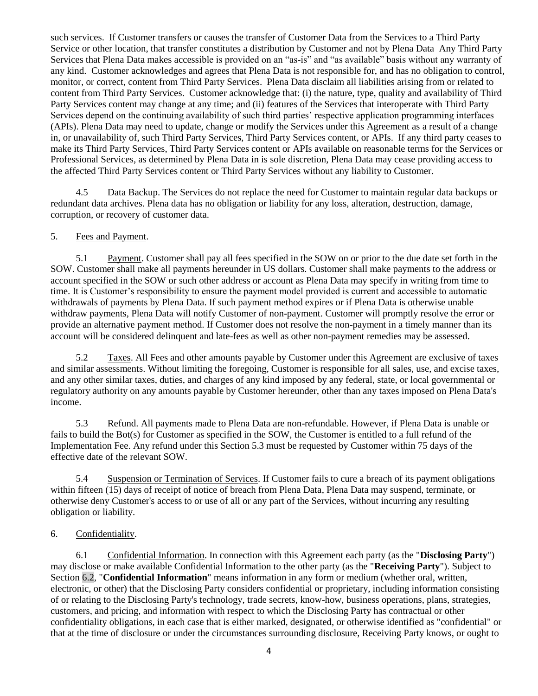<span id="page-3-1"></span>such services. If Customer transfers or causes the transfer of Customer Data from the Services to a Third Party Service or other location, that transfer constitutes a distribution by Customer and not by Plena Data Any Third Party Services that Plena Data makes accessible is provided on an "as-is" and "as available" basis without any warranty of any kind. Customer acknowledges and agrees that Plena Data is not responsible for, and has no obligation to control, monitor, or correct, content from Third Party Services. Plena Data disclaim all liabilities arising from or related to content from Third Party Services. Customer acknowledge that: (i) the nature, type, quality and availability of Third Party Services content may change at any time; and (ii) features of the Services that interoperate with Third Party Services depend on the continuing availability of such third parties' respective application programming interfaces (APIs). Plena Data may need to update, change or modify the Services under this Agreement as a result of a change in, or unavailability of, such Third Party Services, Third Party Services content, or APIs. If any third party ceases to make its Third Party Services, Third Party Services content or APIs available on reasonable terms for the Services or Professional Services, as determined by Plena Data in is sole discretion, Plena Data may cease providing access to the affected Third Party Services content or Third Party Services without any liability to Customer.

4.5 Data Backup. The Services do not replace the need for Customer to maintain regular data backups or redundant data archives. Plena data has no obligation or liability for any loss, alteration, destruction, damage, corruption, or recovery of customer data.

### 5. Fees and Payment.

5.1 Payment. Customer shall pay all fees specified in the SOW on or prior to the due date set forth in the SOW. Customer shall make all payments hereunder in US dollars. Customer shall make payments to the address or account specified in the SOW or such other address or account as Plena Data may specify in writing from time to time. It is Customer's responsibility to ensure the payment model provided is current and accessible to automatic withdrawals of payments by Plena Data. If such payment method expires or if Plena Data is otherwise unable withdraw payments, Plena Data will notify Customer of non-payment. Customer will promptly resolve the error or provide an alternative payment method. If Customer does not resolve the non-payment in a timely manner than its account will be considered delinquent and late-fees as well as other non-payment remedies may be assessed.

5.2 Taxes. All Fees and other amounts payable by Customer under this Agreement are exclusive of taxes and similar assessments. Without limiting the foregoing, Customer is responsible for all sales, use, and excise taxes, and any other similar taxes, duties, and charges of any kind imposed by any federal, state, or local governmental or regulatory authority on any amounts payable by Customer hereunder, other than any taxes imposed on Plena Data's income.

5.3 Refund. All payments made to Plena Data are non-refundable. However, if Plena Data is unable or fails to build the Bot(s) for Customer as specified in the SOW, the Customer is entitled to a full refund of the Implementation Fee. Any refund under this Section 5.3 must be requested by Customer within 75 days of the effective date of the relevant SOW.

5.4 Suspension or Termination of Services. If Customer fails to cure a breach of its payment obligations within fifteen (15) days of receipt of notice of breach from Plena Data, Plena Data may suspend, terminate, or otherwise deny Customer's access to or use of all or any part of the Services, without incurring any resulting obligation or liability.

# <span id="page-3-2"></span>6. Confidentiality.

<span id="page-3-0"></span>6.1 Confidential Information. In connection with this Agreement each party (as the "**Disclosing Party**") may disclose or make available Confidential Information to the other party (as the "**Receiving Party**"). Subject to Section [6.2,](#page-3-1) "**Confidential Information**" means information in any form or medium (whether oral, written, electronic, or other) that the Disclosing Party considers confidential or proprietary, including information consisting of or relating to the Disclosing Party's technology, trade secrets, know-how, business operations, plans, strategies, customers, and pricing, and information with respect to which the Disclosing Party has contractual or other confidentiality obligations, in each case that is either marked, designated, or otherwise identified as "confidential" or that at the time of disclosure or under the circumstances surrounding disclosure, Receiving Party knows, or ought to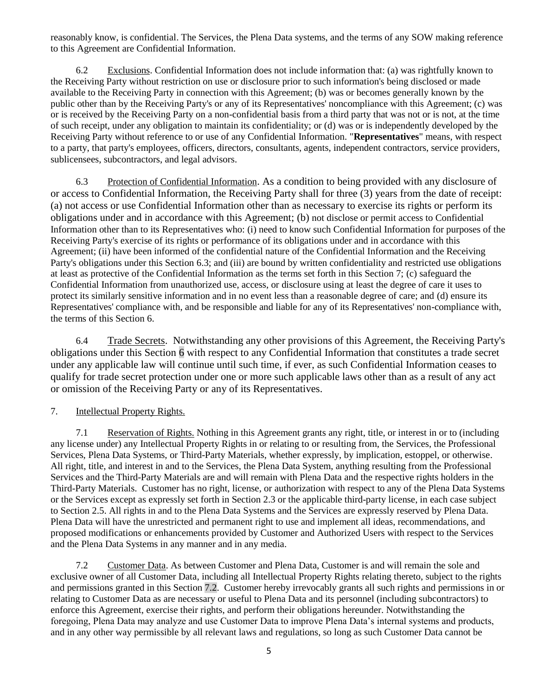reasonably know, is confidential. The Services, the Plena Data systems, and the terms of any SOW making reference to this Agreement are Confidential Information.

6.2 Exclusions. Confidential Information does not include information that: (a) was rightfully known to the Receiving Party without restriction on use or disclosure prior to such information's being disclosed or made available to the Receiving Party in connection with this Agreement; (b) was or becomes generally known by the public other than by the Receiving Party's or any of its Representatives' noncompliance with this Agreement; (c) was or is received by the Receiving Party on a non-confidential basis from a third party that was not or is not, at the time of such receipt, under any obligation to maintain its confidentiality; or (d) was or is independently developed by the Receiving Party without reference to or use of any Confidential Information. "**Representatives**" means, with respect to a party, that party's employees, officers, directors, consultants, agents, independent contractors, service providers, sublicensees, subcontractors, and legal advisors.

<span id="page-4-0"></span>6.3 Protection of Confidential Information. As a condition to being provided with any disclosure of or access to Confidential Information, the Receiving Party shall for three (3) years from the date of receipt: (a) not access or use Confidential Information other than as necessary to exercise its rights or perform its obligations under and in accordance with this Agreement; (b) not disclose or permit access to Confidential Information other than to its Representatives who: (i) need to know such Confidential Information for purposes of the Receiving Party's exercise of its rights or performance of its obligations under and in accordance with this Agreement; (ii) have been informed of the confidential nature of the Confidential Information and the Receiving Party's obligations under this Section [6.3;](#page-4-0) and (iii) are bound by written confidentiality and restricted use obligations at least as protective of the Confidential Information as the terms set forth in this Section 7; (c) safeguard the Confidential Information from unauthorized use, access, or disclosure using at least the degree of care it uses to protect its similarly sensitive information and in no event less than a reasonable degree of care; and (d) ensure its Representatives' compliance with, and be responsible and liable for any of its Representatives' non-compliance with, the terms of this Section [6.](#page-3-2)

6.4 Trade Secrets. Notwithstanding any other provisions of this Agreement, the Receiving Party's obligations under this Section [6](#page-3-2) with respect to any Confidential Information that constitutes a trade secret under any applicable law will continue until such time, if ever, as such Confidential Information ceases to qualify for trade secret protection under one or more such applicable laws other than as a result of any act or omission of the Receiving Party or any of its Representatives.

# <span id="page-4-2"></span>7. Intellectual Property Rights.

7.1 Reservation of Rights. Nothing in this Agreement grants any right, title, or interest in or to (including any license under) any Intellectual Property Rights in or relating to or resulting from, the Services, the Professional Services, Plena Data Systems, or Third-Party Materials, whether expressly, by implication, estoppel, or otherwise. All right, title, and interest in and to the Services, the Plena Data System, anything resulting from the Professional Services and the Third-Party Materials are and will remain with Plena Data and the respective rights holders in the Third-Party Materials. Customer has no right, license, or authorization with respect to any of the Plena Data Systems or the Services except as expressly set forth in Section [2.3](#page-1-1) or the applicable third-party license, in each case subject to Section [2.5.](#page-1-2) All rights in and to the Plena Data Systems and the Services are expressly reserved by Plena Data. Plena Data will have the unrestricted and permanent right to use and implement all ideas, recommendations, and proposed modifications or enhancements provided by Customer and Authorized Users with respect to the Services and the Plena Data Systems in any manner and in any media.

<span id="page-4-1"></span>7.2 Customer Data. As between Customer and Plena Data, Customer is and will remain the sole and exclusive owner of all Customer Data, including all Intellectual Property Rights relating thereto, subject to the rights and permissions granted in this Section [7.2.](#page-4-1) Customer hereby irrevocably grants all such rights and permissions in or relating to Customer Data as are necessary or useful to Plena Data and its personnel (including subcontractors) to enforce this Agreement, exercise their rights, and perform their obligations hereunder. Notwithstanding the foregoing, Plena Data may analyze and use Customer Data to improve Plena Data's internal systems and products, and in any other way permissible by all relevant laws and regulations, so long as such Customer Data cannot be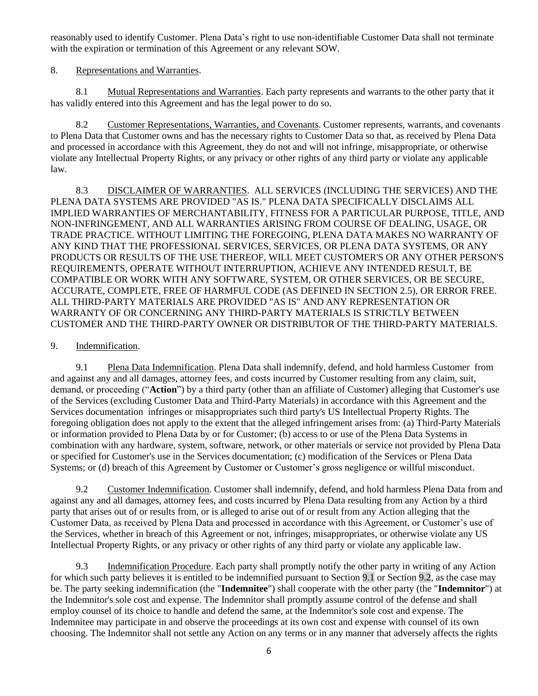reasonably used to identify Customer. Plena Data's right to use non-identifiable Customer Data shall not terminate with the expiration or termination of this Agreement or any relevant SOW.

8. Representations and Warranties.

8.1 Mutual Representations and Warranties. Each party represents and warrants to the other party that it has validly entered into this Agreement and has the legal power to do so.

8.2 Customer Representations, Warranties, and Covenants. Customer represents, warrants, and covenants to Plena Data that Customer owns and has the necessary rights to Customer Data so that, as received by Plena Data and processed in accordance with this Agreement, they do not and will not infringe, misappropriate, or otherwise violate any Intellectual Property Rights, or any privacy or other rights of any third party or violate any applicable law.

<span id="page-5-4"></span>8.3 DISCLAIMER OF WARRANTIES. ALL SERVICES (INCLUDING THE SERVICES) AND THE PLENA DATA SYSTEMS ARE PROVIDED "AS IS." PLENA DATA SPECIFICALLY DISCLAIMS ALL IMPLIED WARRANTIES OF MERCHANTABILITY, FITNESS FOR A PARTICULAR PURPOSE, TITLE, AND NON-INFRINGEMENT, AND ALL WARRANTIES ARISING FROM COURSE OF DEALING, USAGE, OR TRADE PRACTICE. WITHOUT LIMITING THE FOREGOING, PLENA DATA MAKES NO WARRANTY OF ANY KIND THAT THE PROFESSIONAL SERVICES, SERVICES, OR PLENA DATA SYSTEMS, OR ANY PRODUCTS OR RESULTS OF THE USE THEREOF, WILL MEET CUSTOMER'S OR ANY OTHER PERSON'S REQUIREMENTS, OPERATE WITHOUT INTERRUPTION, ACHIEVE ANY INTENDED RESULT, BE COMPATIBLE OR WORK WITH ANY SOFTWARE, SYSTEM, OR OTHER SERVICES, OR BE SECURE, ACCURATE, COMPLETE, FREE OF HARMFUL CODE (AS DEFINED IN SECTION [2.5\)](#page-1-3), OR ERROR FREE. ALL THIRD-PARTY MATERIALS ARE PROVIDED "AS IS" AND ANY REPRESENTATION OR WARRANTY OF OR CONCERNING ANY THIRD-PARTY MATERIALS IS STRICTLY BETWEEN CUSTOMER AND THE THIRD-PARTY OWNER OR DISTRIBUTOR OF THE THIRD-PARTY MATERIALS.

#### <span id="page-5-3"></span>9. Indemnification.

<span id="page-5-0"></span>9.1 Plena Data Indemnification. Plena Data shall indemnify, defend, and hold harmless Customer from and against any and all damages, attorney fees, and costs incurred by Customer resulting from any claim, suit, demand, or proceeding ("**Action**") by a third party (other than an affiliate of Customer) alleging that Customer's use of the Services (excluding Customer Data and Third-Party Materials) in accordance with this Agreement and the Services documentation infringes or misappropriates such third party's US Intellectual Property Rights. The foregoing obligation does not apply to the extent that the alleged infringement arises from: (a) Third-Party Materials or information provided to Plena Data by or for Customer; (b) access to or use of the Plena Data Systems in combination with any hardware, system, software, network, or other materials or service not provided by Plena Data or specified for Customer's use in the Services documentation; (c) modification of the Services or Plena Data Systems; or (d) breach of this Agreement by Customer or Customer's gross negligence or willful misconduct.

<span id="page-5-1"></span>9.2 Customer Indemnification. Customer shall indemnify, defend, and hold harmless Plena Data from and against any and all damages, attorney fees, and costs incurred by Plena Data resulting from any Action by a third party that arises out of or results from, or is alleged to arise out of or result from any Action alleging that the Customer Data, as received by Plena Data and processed in accordance with this Agreement, or Customer's use of the Services, whether in breach of this Agreement or not, infringes, misappropriates, or otherwise violate any US Intellectual Property Rights, or any privacy or other rights of any third party or violate any applicable law.

<span id="page-5-2"></span>9.3 Indemnification Procedure. Each party shall promptly notify the other party in writing of any Action for which such party believes it is entitled to be indemnified pursuant to Section [9.1](#page-5-0) or Sectio[n 9.2,](#page-5-1) as the case may be. The party seeking indemnification (the "**Indemnitee**") shall cooperate with the other party (the "**Indemnitor**") at the Indemnitor's sole cost and expense. The Indemnitor shall promptly assume control of the defense and shall employ counsel of its choice to handle and defend the same, at the Indemnitor's sole cost and expense. The Indemnitee may participate in and observe the proceedings at its own cost and expense with counsel of its own choosing. The Indemnitor shall not settle any Action on any terms or in any manner that adversely affects the rights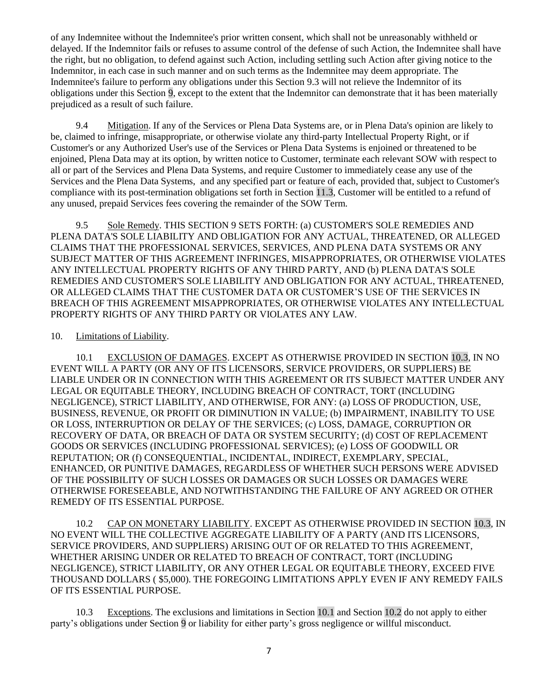<span id="page-6-4"></span>of any Indemnitee without the Indemnitee's prior written consent, which shall not be unreasonably withheld or delayed. If the Indemnitor fails or refuses to assume control of the defense of such Action, the Indemnitee shall have the right, but no obligation, to defend against such Action, including settling such Action after giving notice to the Indemnitor, in each case in such manner and on such terms as the Indemnitee may deem appropriate. The Indemnitee's failure to perform any obligations under this Section [9.3](#page-5-2) will not relieve the Indemnitor of its obligations under this Section [9,](#page-5-3) except to the extent that the Indemnitor can demonstrate that it has been materially prejudiced as a result of such failure.

9.4 Mitigation. If any of the Services or Plena Data Systems are, or in Plena Data's opinion are likely to be, claimed to infringe, misappropriate, or otherwise violate any third-party Intellectual Property Right, or if Customer's or any Authorized User's use of the Services or Plena Data Systems is enjoined or threatened to be enjoined, Plena Data may at its option, by written notice to Customer, terminate each relevant SOW with respect to all or part of the Services and Plena Data Systems, and require Customer to immediately cease any use of the Services and the Plena Data Systems, and any specified part or feature of each, provided that, subject to Customer's compliance with its post-termination obligations set forth in Section [11.3,](#page-7-0) Customer will be entitled to a refund of any unused, prepaid Services fees covering the remainder of the SOW Term.

9.5 Sole Remedy. THIS SECTION [9](#page-5-3) SETS FORTH: (a) CUSTOMER'S SOLE REMEDIES AND PLENA DATA'S SOLE LIABILITY AND OBLIGATION FOR ANY ACTUAL, THREATENED, OR ALLEGED CLAIMS THAT THE PROFESSIONAL SERVICES, SERVICES, AND PLENA DATA SYSTEMS OR ANY SUBJECT MATTER OF THIS AGREEMENT INFRINGES, MISAPPROPRIATES, OR OTHERWISE VIOLATES ANY INTELLECTUAL PROPERTY RIGHTS OF ANY THIRD PARTY, AND (b) PLENA DATA'S SOLE REMEDIES AND CUSTOMER'S SOLE LIABILITY AND OBLIGATION FOR ANY ACTUAL, THREATENED, OR ALLEGED CLAIMS THAT THE CUSTOMER DATA OR CUSTOMER'S USE OF THE SERVICES IN BREACH OF THIS AGREEMENT MISAPPROPRIATES, OR OTHERWISE VIOLATES ANY INTELLECTUAL PROPERTY RIGHTS OF ANY THIRD PARTY OR VIOLATES ANY LAW.

#### <span id="page-6-3"></span>10. Limitations of Liability.

<span id="page-6-1"></span>10.1 EXCLUSION OF DAMAGES. EXCEPT AS OTHERWISE PROVIDED IN SECTION [10.3,](#page-6-0) IN NO EVENT WILL A PARTY (OR ANY OF ITS LICENSORS, SERVICE PROVIDERS, OR SUPPLIERS) BE LIABLE UNDER OR IN CONNECTION WITH THIS AGREEMENT OR ITS SUBJECT MATTER UNDER ANY LEGAL OR EQUITABLE THEORY, INCLUDING BREACH OF CONTRACT, TORT (INCLUDING NEGLIGENCE), STRICT LIABILITY, AND OTHERWISE, FOR ANY: (a) LOSS OF PRODUCTION, USE, BUSINESS, REVENUE, OR PROFIT OR DIMINUTION IN VALUE; (b) IMPAIRMENT, INABILITY TO USE OR LOSS, INTERRUPTION OR DELAY OF THE SERVICES; (c) LOSS, DAMAGE, CORRUPTION OR RECOVERY OF DATA, OR BREACH OF DATA OR SYSTEM SECURITY; (d) COST OF REPLACEMENT GOODS OR SERVICES (INCLUDING PROFESSIONAL SERVICES); (e) LOSS OF GOODWILL OR REPUTATION; OR (f) CONSEQUENTIAL, INCIDENTAL, INDIRECT, EXEMPLARY, SPECIAL, ENHANCED, OR PUNITIVE DAMAGES, REGARDLESS OF WHETHER SUCH PERSONS WERE ADVISED OF THE POSSIBILITY OF SUCH LOSSES OR DAMAGES OR SUCH LOSSES OR DAMAGES WERE OTHERWISE FORESEEABLE, AND NOTWITHSTANDING THE FAILURE OF ANY AGREED OR OTHER REMEDY OF ITS ESSENTIAL PURPOSE.

<span id="page-6-2"></span>10.2 CAP ON MONETARY LIABILITY. EXCEPT AS OTHERWISE PROVIDED IN SECTION [10.3,](#page-6-0) IN NO EVENT WILL THE COLLECTIVE AGGREGATE LIABILITY OF A PARTY (AND ITS LICENSORS, SERVICE PROVIDERS, AND SUPPLIERS) ARISING OUT OF OR RELATED TO THIS AGREEMENT, WHETHER ARISING UNDER OR RELATED TO BREACH OF CONTRACT, TORT (INCLUDING NEGLIGENCE), STRICT LIABILITY, OR ANY OTHER LEGAL OR EQUITABLE THEORY, EXCEED FIVE THOUSAND DOLLARS ( \$5,000). THE FOREGOING LIMITATIONS APPLY EVEN IF ANY REMEDY FAILS OF ITS ESSENTIAL PURPOSE.

<span id="page-6-0"></span>10.3 Exceptions. The exclusions and limitations in Section [10.1](#page-6-1) and Sectio[n 10.2](#page-6-2) do not apply to either party's obligations under Section [9](#page-5-3) or liability for either party's gross negligence or willful misconduct.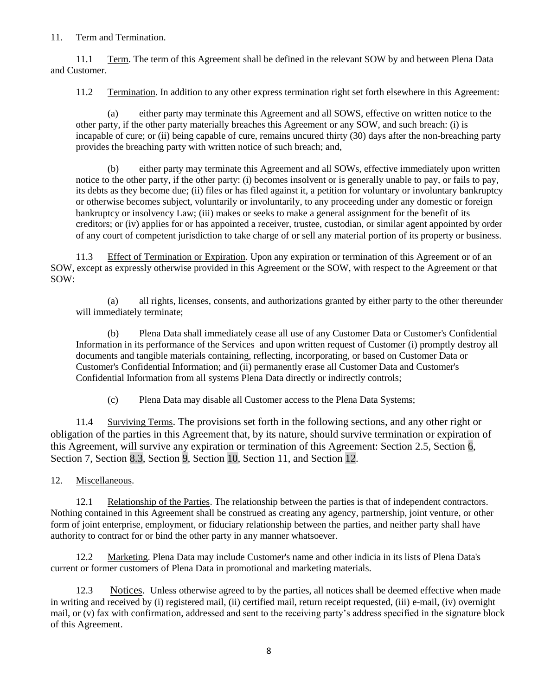#### 11. Term and Termination.

11.1 Term. The term of this Agreement shall be defined in the relevant SOW by and between Plena Data and Customer.

11.2 Termination. In addition to any other express termination right set forth elsewhere in this Agreement:

(a) either party may terminate this Agreement and all SOWS, effective on written notice to the other party, if the other party materially breaches this Agreement or any SOW, and such breach: (i) is incapable of cure; or (ii) being capable of cure, remains uncured thirty (30) days after the non-breaching party provides the breaching party with written notice of such breach; and,

(b) either party may terminate this Agreement and all SOWs, effective immediately upon written notice to the other party, if the other party: (i) becomes insolvent or is generally unable to pay, or fails to pay, its debts as they become due; (ii) files or has filed against it, a petition for voluntary or involuntary bankruptcy or otherwise becomes subject, voluntarily or involuntarily, to any proceeding under any domestic or foreign bankruptcy or insolvency Law; (iii) makes or seeks to make a general assignment for the benefit of its creditors; or (iv) applies for or has appointed a receiver, trustee, custodian, or similar agent appointed by order of any court of competent jurisdiction to take charge of or sell any material portion of its property or business.

<span id="page-7-0"></span>11.3 Effect of Termination or Expiration. Upon any expiration or termination of this Agreement or of an SOW, except as expressly otherwise provided in this Agreement or the SOW, with respect to the Agreement or that SOW:

(a) all rights, licenses, consents, and authorizations granted by either party to the other thereunder will immediately terminate;

(b) Plena Data shall immediately cease all use of any Customer Data or Customer's Confidential Information in its performance of the Services and upon written request of Customer (i) promptly destroy all documents and tangible materials containing, reflecting, incorporating, or based on Customer Data or Customer's Confidential Information; and (ii) permanently erase all Customer Data and Customer's Confidential Information from all systems Plena Data directly or indirectly controls;

(c) Plena Data may disable all Customer access to the Plena Data Systems;

11.4 Surviving Terms. The provisions set forth in the following sections, and any other right or obligation of the parties in this Agreement that, by its nature, should survive termination or expiration of this Agreement, will survive any expiration or termination of this Agreement: Section [2.5,](#page-1-2) Section [6,](#page-3-2) Section [7,](#page-4-2) Section [8.3,](#page-5-4) Section [9,](#page-5-3) Section [10,](#page-6-3) Section [11,](#page-6-4) and Section [12.](#page-7-1)

<span id="page-7-1"></span>12. Miscellaneous.

12.1 Relationship of the Parties. The relationship between the parties is that of independent contractors. Nothing contained in this Agreement shall be construed as creating any agency, partnership, joint venture, or other form of joint enterprise, employment, or fiduciary relationship between the parties, and neither party shall have authority to contract for or bind the other party in any manner whatsoever.

12.2 Marketing. Plena Data may include Customer's name and other indicia in its lists of Plena Data's current or former customers of Plena Data in promotional and marketing materials.

12.3 Notices. Unless otherwise agreed to by the parties, all notices shall be deemed effective when made in writing and received by (i) registered mail, (ii) certified mail, return receipt requested, (iii) e-mail, (iv) overnight mail, or (v) fax with confirmation, addressed and sent to the receiving party's address specified in the signature block of this Agreement.

8